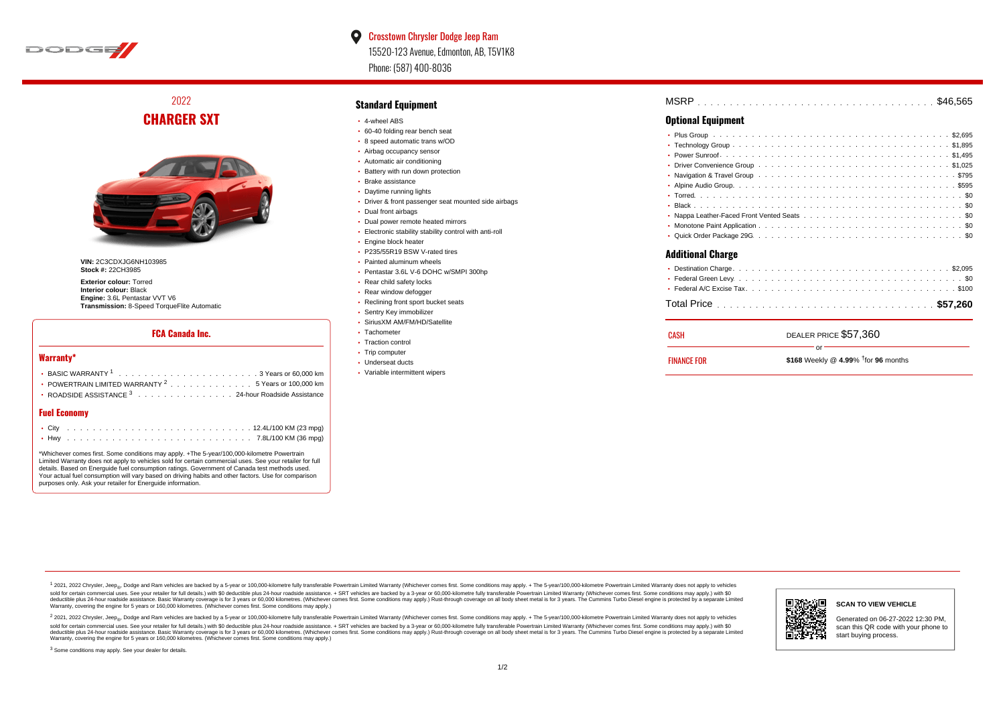

# $\bullet$ Crosstown Chrysler Dodge Jeep Ram 15520-123 Avenue, Edmonton, AB, T5V1K8 Phone: (587) 400-8036

2022 **CHARGER SXT**



**VIN:** 2C3CDXJG6NH103985 **Stock #:** 22CH3985

**Exterior colour:** Torred **Interior colour:** Black **Engine:** 3.6L Pentastar VVT V6 **Transmission:** 8-Speed TorqueFlite Automatic

#### **FCA Canada Inc.**

#### **Warranty\***

| • POWERTRAIN LIMITED WARRANTY $2 \ldots \ldots \ldots \ldots \ldots 5$ Years or 100,000 km |
|--------------------------------------------------------------------------------------------|
| • ROADSIDE ASSISTANCE $^3$ , , , , , , , , , , , , , , , , 24-hour Roadside Assistance     |
|                                                                                            |

# **Fuel Economy**

\*Whichever comes first. Some conditions may apply. +The 5-year/100,000-kilometre Powertrain Limited Warranty does not apply to vehicles sold for certain commercial uses. See your retailer for full details. Based on Energuide fuel consumption ratings. Government of Canada test methods used. Your actual fuel consumption will vary based on driving habits and other factors. Use for comparison purposes only. Ask your retailer for Energuide information.

### **Standard Equipment**

- 4-wheel ABS
- 60-40 folding rear bench seat
- 8 speed automatic trans w/OD
- Airbag occupancy sensor
- Automatic air conditioning
- Battery with run down protection Brake assistance
- Daytime running lights
- Driver & front passenger seat mounted side airbags
- Dual front airbags
- Dual power remote heated mirrors
- Electronic stability stability control with anti-roll
- **Engine block heater**
- P235/55R19 BSW V-rated tires
- Painted aluminum wheels
- Pentastar 3.6L V-6 DOHC w/SMPI 300hp
- Rear child safety locks
- Rear window defogger
- Reclining front sport bucket seats
- Sentry Key immobilizer
- SiriusXM AM/FM/HD/Satellite
- Tachometer
- Traction control
- Trip computer
- Underseat ducts
- Variable intermittent wipers

| <b>MSRP</b> |  |  |  |  |  |  |  |  |  |  |  |  |  |  |  |  |  |  |  |  |  |  |  |
|-------------|--|--|--|--|--|--|--|--|--|--|--|--|--|--|--|--|--|--|--|--|--|--|--|
|             |  |  |  |  |  |  |  |  |  |  |  |  |  |  |  |  |  |  |  |  |  |  |  |

# **Optional Equipment**

| <b>FINANCE FOR</b>       | \$168 Weekly @ $4.99\%$ <sup>†</sup> for 96 months |
|--------------------------|----------------------------------------------------|
| CASH                     | DEALER PRICE \$57.360<br>or                        |
|                          |                                                    |
|                          |                                                    |
|                          |                                                    |
| <b>Additional Charge</b> |                                                    |
|                          |                                                    |
|                          |                                                    |
|                          |                                                    |
|                          |                                                    |
|                          |                                                    |
|                          |                                                    |
|                          |                                                    |
|                          |                                                    |
|                          |                                                    |
|                          |                                                    |

1 2021, 2022 Chrysler, Jeep.... Dodge and Ram vehicles are backed by a 5-year or 100,000-kilometre fully transferable Powertrain Limited Warranty (Whichever comes first. Some conditions may apply. + The 5-year/100,000-kilo sold for certain commercial uses. See your retailer for full details.) with \$0 deductible plus 24-hour roadside assistance. + SRT vehicles are backed by a 3-year or 60,000-kilometre fully transferable Powertrain Limited Wa detuctible plus 24-hour roadside assistance. Basic Warranty coverage is for 3 years or 60,000 kilometres. Whichever comes first. Some conditions may apply.) Rust-through coverage on all body sheet metals for 3 years. The C Warranty, covering the engine for 5 years or 160,000 kilometres. (Whichever comes first. Some conditions may apply.)

<sup>2</sup> 2021, 2022 Chrysler, Jeep<sub>®</sub>, Dodge and Ram vehicles are backed by a 5-year or 100,000-kilometre fully transferable Powertrain Limited Warranty (Whichever comes first. Some conditions may apply. + The 5-year/100,000-ki sold for certain commercial uses. See your retailer for full details.) with \$0 deductible plus 24-hour roadside assistance. + SRT vehicles are backed by a 3-year or 60.000-kilometre fully transferable Powertrain Limited Wa deductible plus 24-hour roadside assistance. Basic Warranty coverage is for 3 years or 60,000 kilometres. (Whichever comes first. Some conditions may apply.) Rust-through coverage on all body sheet metal is for 3 years. Th



#### **SCAN TO VIEW VEHICLE**

Generated on 06-27-2022 12:30 PM, scan this QR code with your phone to start buying process.

<sup>3</sup> Some conditions may apply. See your dealer for details.